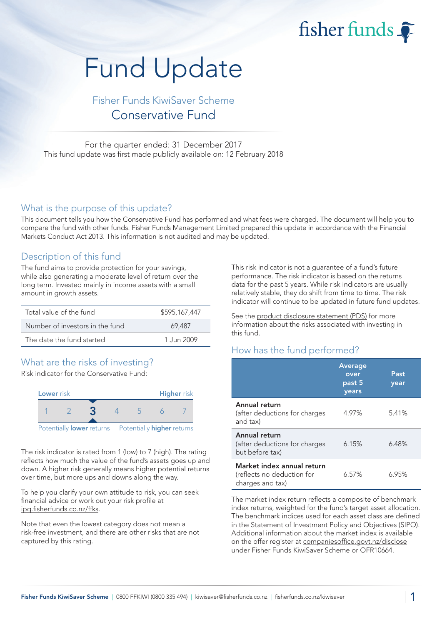fisher funds

# Fund Update

## Fisher Funds KiwiSaver Scheme Conservative Fund

For the quarter ended: 31 December 2017 This fund update was first made publicly available on: 12 February 2018

#### What is the purpose of this update?

This document tells you how the Conservative Fund has performed and what fees were charged. The document will help you to compare the fund with other funds. Fisher Funds Management Limited prepared this update in accordance with the Financial Markets Conduct Act 2013. This information is not audited and may be updated.

## Description of this fund

The fund aims to provide protection for your savings, while also generating a moderate level of return over the long term. Invested mainly in income assets with a small amount in growth assets.

| Total value of the fund         | \$595,167,447 |
|---------------------------------|---------------|
| Number of investors in the fund | 69.487        |
| The date the fund started       | 1.Jun 2009    |

## What are the risks of investing?

Risk indicator for the Conservative Fund:



The risk indicator is rated from 1 (low) to 7 (high). The rating reflects how much the value of the fund's assets goes up and down. A higher risk generally means higher potential returns over time, but more ups and downs along the way.

To help you clarify your own attitude to risk, you can seek financial advice or work out your risk profile at ipq.fisherfunds.co.nz/ffks.

Note that even the lowest category does not mean a risk-free investment, and there are other risks that are not captured by this rating.

This risk indicator is not a guarantee of a fund's future performance. The risk indicator is based on the returns data for the past 5 years. While risk indicators are usually relatively stable, they do shift from time to time. The risk indicator will continue to be updated in future fund updates.

See the product disclosure statement (PDS) for more information about the risks associated with investing in this fund.

## How has the fund performed?

|                                                                              | <b>Average</b><br>over<br>past 5<br>years | Past<br>year |
|------------------------------------------------------------------------------|-------------------------------------------|--------------|
| Annual return<br>(after deductions for charges<br>and tax)                   | 4.97%                                     | 5.41%        |
| Annual return<br>(after deductions for charges<br>but before tax)            | 6.15%                                     | 6.48%        |
| Market index annual return<br>(reflects no deduction for<br>charges and tax) | 6.57%                                     | 6.95%        |

The market index return reflects a composite of benchmark index returns, weighted for the fund's target asset allocation. The benchmark indices used for each asset class are defined in the Statement of Investment Policy and Objectives (SIPO). Additional information about the market index is available on the offer register at companiesoffice.govt.nz/disclose under Fisher Funds KiwiSaver Scheme or OFR10664.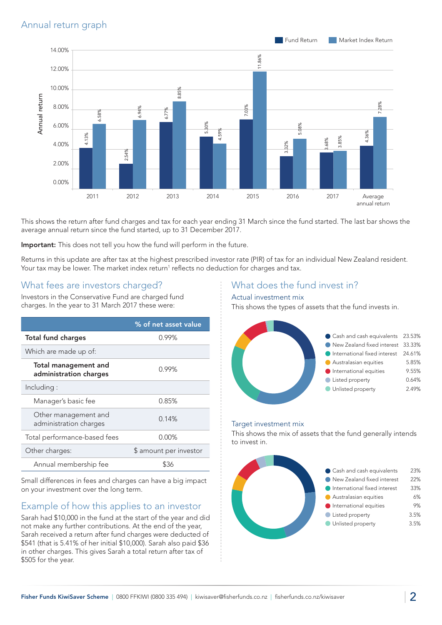

This shows the return after fund charges and tax for each year ending 31 March since the fund started. The last bar shows the average annual return since the fund started, up to 31 December 2017.

Important: This does not tell you how the fund will perform in the future.

Returns in this update are after tax at the highest prescribed investor rate (PIR) of tax for an individual New Zealand resident. Your tax may be lower. The market index return<sup>1</sup> reflects no deduction for charges and tax.

## What fees are investors charged?

Investors in the Conservative Fund are charged fund charges. In the year to 31 March 2017 these were:

|                                                       | % of net asset value   |
|-------------------------------------------------------|------------------------|
| <b>Total fund charges</b>                             | 0.99%                  |
| Which are made up of:                                 |                        |
| <b>Total management and</b><br>administration charges | 0.99%                  |
| Including:                                            |                        |
| Manager's basic fee                                   | 0.85%                  |
| Other management and<br>administration charges        | 0.14%                  |
| Total performance-based fees                          | $0.00\%$               |
| Other charges:                                        | \$ amount per investor |
| Annual membership fee                                 | ዌ36                    |

Small differences in fees and charges can have a big impact on your investment over the long term.

## Example of how this applies to an investor

Sarah had \$10,000 in the fund at the start of the year and did not make any further contributions. At the end of the year, Sarah received a return after fund charges were deducted of \$541 (that is 5.41% of her initial \$10,000). Sarah also paid \$36 in other charges. This gives Sarah a total return after tax of \$505 for the year.

## What does the fund invest in?

#### Actual investment mix

This shows the types of assets that the fund invests in.



#### Target investment mix

This shows the mix of assets that the fund generally intends to invest in.